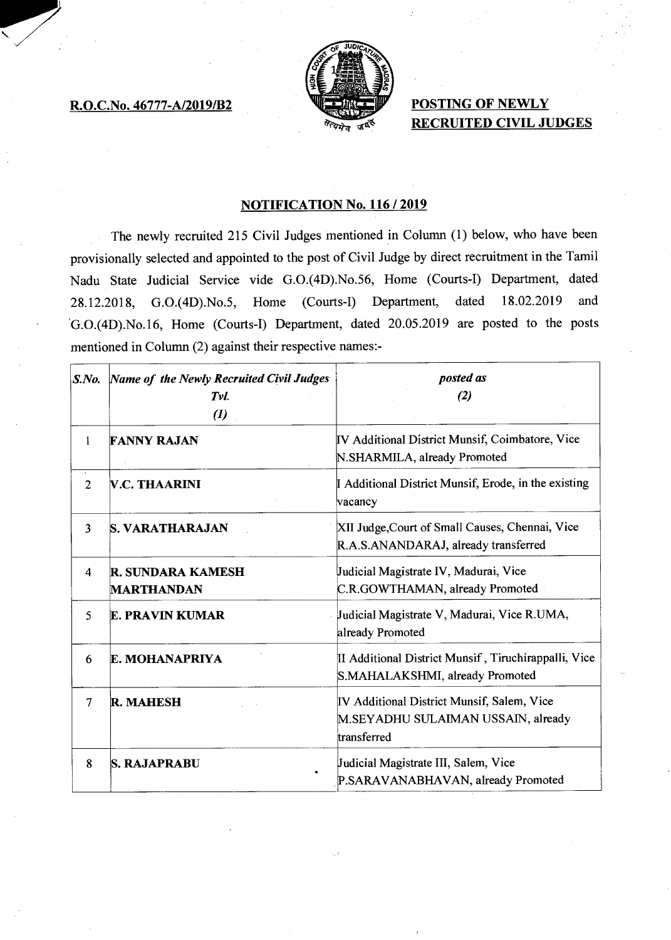## **R.O.C.No. 46777-A/2019/B2**



**POSTING OF NEWLY RECRUITED CIVIL JUDGES** 

# **NOTIFICATION No. 116 / 2019**

The newly recruited 215 Civil Judges mentioned in Column (1) below, who have been provisionally selected and appointed to the post of Civil Judge by direct recruitment in the Tamil Nadu State Judicial Service vide G.0.(4D).No.56, Home (Courts-I) Department, dated 28.12.2018, G.0.(4D).No.5, Home (Courts-I) Department, dated 18.02.2019 and G.0.(4D).No.16, Home (Courts-I) Department, dated 20.05.2019 are posted to the posts mentioned in Column (2) against their respective names:-

| S. No.         | Name of the Newly Recruited Civil Judges<br>Tvl.<br>$\boldsymbol{(\mathit{l})}$ | posted as<br>(2)                                                                                |
|----------------|---------------------------------------------------------------------------------|-------------------------------------------------------------------------------------------------|
| 1              | <b>FANNY RAJAN</b>                                                              | IV Additional District Munsif, Coimbatore, Vice<br>N.SHARMILA, already Promoted                 |
| $\overline{2}$ | <b>V.C. THAARINI</b>                                                            | I Additional District Munsif, Erode, in the existing<br>vacancy                                 |
| 3              | <b>S. VARATHARAJAN</b>                                                          | XII Judge, Court of Small Causes, Chennai, Vice<br>R.A.S.ANANDARAJ, already transferred         |
| 4              | <b>R. SUNDARA KAMESH</b><br><b>MARTHANDAN</b>                                   | Judicial Magistrate IV, Madurai, Vice<br>C.R.GOWTHAMAN, already Promoted                        |
| 5              | <b>E. PRAVIN KUMAR</b>                                                          | Judicial Magistrate V, Madurai, Vice R.UMA,<br>already Promoted                                 |
| 6              | E. MOHANAPRIYA                                                                  | II Additional District Munsif, Tiruchirappalli, Vice<br>S.MAHALAKSHMI, already Promoted         |
| 7              | <b>R. MAHESH</b>                                                                | IV Additional District Munsif, Salem, Vice<br>M.SEYADHU SULAIMAN USSAIN, already<br>transferred |
| 8              | <b>S. RAJAPRABU</b>                                                             | Judicial Magistrate III, Salem, Vice<br>P.SARAVANABHAVAN, already Promoted                      |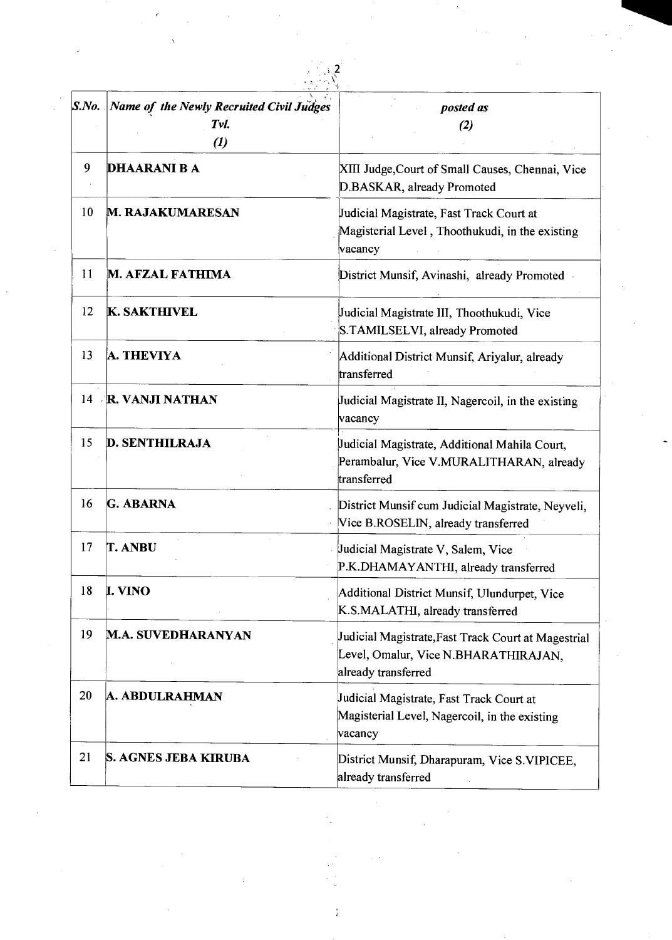| $S$ .No. | <b>Name of the Newly Recruited Civil Judges</b><br>Tvl.<br>$\left( l\right)$ | posted as<br>(2)                                                                                                   |
|----------|------------------------------------------------------------------------------|--------------------------------------------------------------------------------------------------------------------|
| 9        | <b>DHAARANI B A</b>                                                          | XIII Judge, Court of Small Causes, Chennai, Vice<br>D.BASKAR, already Promoted                                     |
| 10       | <b>M. RAJAKUMARESAN</b>                                                      | Judicial Magistrate, Fast Track Court at<br>Magisterial Level, Thoothukudi, in the existing<br>vacancy             |
| 11       | M. AFZAL FATHIMA                                                             | District Munsif, Avinashi, already Promoted                                                                        |
| 12       | <b>K. SAKTHIVEL</b>                                                          | Judicial Magistrate III, Thoothukudi, Vice<br>S.TAMILSELVI, already Promoted                                       |
| 13       | A. THEVIYA                                                                   | Additional District Munsif, Ariyalur, already<br>transferred                                                       |
|          | 14 R. VANJI NATHAN                                                           | Judicial Magistrate II, Nagercoil, in the existing<br>vacancy                                                      |
| 15       | <b>D. SENTHILRAJA</b>                                                        | Judicial Magistrate, Additional Mahila Court,<br>Perambalur, Vice V.MURALITHARAN, already<br>transferred           |
| 16       | <b>G. ABARNA</b>                                                             | District Munsif cum Judicial Magistrate, Neyveli,<br>Vice B.ROSELIN, already transferred                           |
| 17       | <b>T. ANBU</b>                                                               | Judicial Magistrate V, Salem, Vice<br>P.K.DHAMAYANTHI, already transferred                                         |
| 18       | <b>I. VINO</b>                                                               | Additional District Munsif, Ulundurpet, Vice<br>K.S.MALATHI, already transferred                                   |
| 19       | <b>M.A. SUVEDHARANYAN</b>                                                    | Judicial Magistrate, Fast Track Court at Magestrial<br>Level, Omalur, Vice N.BHARATHIRAJAN,<br>already transferred |
| 20       | A. ABDULRAHMAN                                                               | Judicial Magistrate, Fast Track Court at<br>Magisterial Level, Nagercoil, in the existing<br>vacancy               |
| 21       | <b>S. AGNES JEBA KIRUBA</b>                                                  | District Munsif, Dharapuram, Vice S.VIPICEE,<br>already transferred                                                |

 $\frac{1}{T}$ 

 $\hat{\mathcal{F}}_i$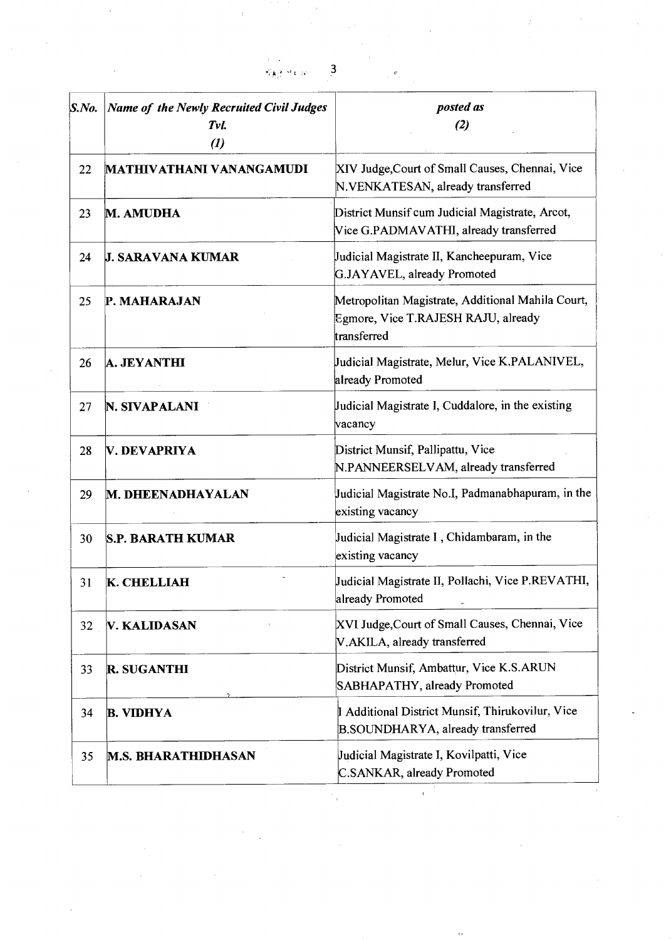|                 | <b>RAY HERE</b>                                                             | $\overline{\mathbf{3}}$<br>$\varphi(\mathbf{f})$                                                        |
|-----------------|-----------------------------------------------------------------------------|---------------------------------------------------------------------------------------------------------|
| $S.$ <i>No.</i> | <b>Name of the Newly Recruited Civil Judges</b><br>Tvl.<br>$\boldsymbol{d}$ | posted as<br>(2)                                                                                        |
| 22              | MATHIVATHANI VANANGAMUDI                                                    | XIV Judge, Court of Small Causes, Chennai, Vice<br>N.VENKATESAN, already transferred                    |
| 23              | M. AMUDHA                                                                   | District Munsif cum Judicial Magistrate, Arcot,<br>Vice G.PADMAVATHI, already transferred               |
| 24              | <b>J. SARAVANA KUMAR</b>                                                    | Judicial Magistrate II, Kancheepuram, Vice<br>G.JAYAVEL, already Promoted                               |
| 25              | P. MAHARAJAN                                                                | Metropolitan Magistrate, Additional Mahila Court,<br>Egmore, Vice T.RAJESH RAJU, already<br>transferred |
| 26              | A. JEYANTHI                                                                 | Judicial Magistrate, Melur, Vice K.PALANIVEL,<br>already Promoted                                       |
| 27              | N. SIVAPALANI                                                               | Judicial Magistrate I, Cuddalore, in the existing<br>vacancy                                            |
| 28              | V. DEVAPRIYA                                                                | District Munsif, Pallipattu, Vice<br>N.PANNEERSELVAM, already transferred                               |
| 29              | M. DHEENADHAYALAN                                                           | Judicial Magistrate No.I, Padmanabhapuram, in the<br>existing vacancy                                   |
| 30              | <b>S.P. BARATH KUMAR</b>                                                    | Judicial Magistrate I, Chidambaram, in the<br>existing vacancy                                          |
| 31              | <b>K. CHELLIAH</b>                                                          | Judicial Magistrate II, Pollachi, Vice P.REVATHI,<br>already Promoted                                   |
| 32              | <b>V. KALIDASAN</b>                                                         | XVI Judge, Court of Small Causes, Chennai, Vice<br>V.AKILA, already transferred                         |
| 33              | <b>R. SUGANTHI</b>                                                          | District Munsif, Ambattur, Vice K.S.ARUN<br>SABHAPATHY, already Promoted                                |
| 34              | <b>B. VIDHYA</b>                                                            | I Additional District Munsif, Thirukovilur, Vice<br>B.SOUNDHARYA, already transferred                   |
| 35              | <b>M.S. BHARATHIDHASAN</b>                                                  | Judicial Magistrate I, Kovilpatti, Vice<br><b>C.SANKAR</b> , already Promoted                           |

 $\label{eq:1} \mathbf{D}_{\mathbf{z}}$ 

 $\label{eq:2.1} \frac{1}{\sqrt{2}}\left(\frac{1}{\sqrt{2}}\right)^{2} \left(\frac{1}{\sqrt{2}}\right)^{2} \left(\frac{1}{\sqrt{2}}\right)^{2} \left(\frac{1}{\sqrt{2}}\right)^{2} \left(\frac{1}{\sqrt{2}}\right)^{2} \left(\frac{1}{\sqrt{2}}\right)^{2} \left(\frac{1}{\sqrt{2}}\right)^{2} \left(\frac{1}{\sqrt{2}}\right)^{2} \left(\frac{1}{\sqrt{2}}\right)^{2} \left(\frac{1}{\sqrt{2}}\right)^{2} \left(\frac{1}{\sqrt{2}}\right)^{2} \left(\$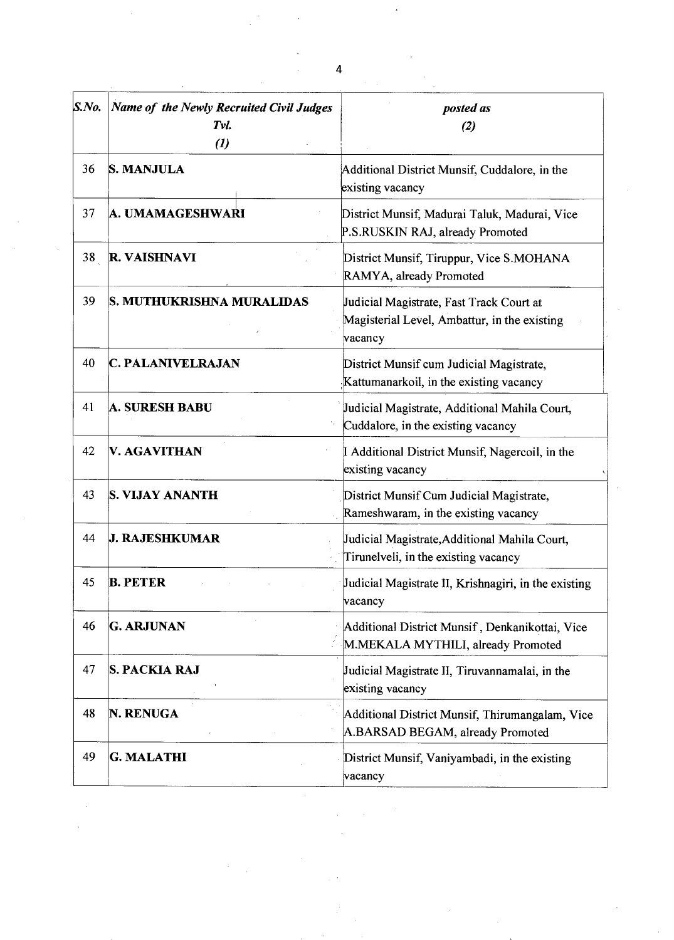| S. No. | Name of the Newly Recruited Civil Judges<br>Tvl.<br>$\boldsymbol{v}$ | posted as<br>(2)                                                                                    |
|--------|----------------------------------------------------------------------|-----------------------------------------------------------------------------------------------------|
| 36     | <b>S. MANJULA</b>                                                    | Additional District Munsif, Cuddalore, in the<br>existing vacancy                                   |
| 37     | A. UMAMAGESHWARI                                                     | District Munsif, Madurai Taluk, Madurai, Vice<br>P.S.RUSKIN RAJ, already Promoted                   |
| 38     | <b>R. VAISHNAVI</b>                                                  | District Munsif, Tiruppur, Vice S.MOHANA<br>RAMYA, already Promoted                                 |
| 39     | S. MUTHUKRISHNA MURALIDAS                                            | Judicial Magistrate, Fast Track Court at<br>Magisterial Level, Ambattur, in the existing<br>vacancy |
| 40     | <b>C. PALANIVELRAJAN</b>                                             | District Munsif cum Judicial Magistrate,<br>Kattumanarkoil, in the existing vacancy                 |
| 41     | <b>A. SURESH BABU</b>                                                | Judicial Magistrate, Additional Mahila Court,<br>Cuddalore, in the existing vacancy                 |
| 42     | <b>V. AGAVITHAN</b>                                                  | I Additional District Munsif, Nagercoil, in the<br>existing vacancy                                 |
| 43     | S. VIJAY ANANTH                                                      | District Munsif Cum Judicial Magistrate,<br>Rameshwaram, in the existing vacancy                    |
| 44     | <b>J. RAJESHKUMAR</b>                                                | Judicial Magistrate, Additional Mahila Court,<br>Tirunelveli, in the existing vacancy               |
| 45     | <b>B. PETER</b>                                                      | Judicial Magistrate II, Krishnagiri, in the existing<br>vacancy                                     |
| 46     | <b>G. ARJUNAN</b>                                                    | Additional District Munsif, Denkanikottai, Vice<br>M.MEKALA MYTHILI, already Promoted               |
| 47     | <b>S. PACKIA RAJ</b>                                                 | Judicial Magistrate II, Tiruvannamalai, in the<br>existing vacancy                                  |
| 48     | N. RENUGA                                                            | Additional District Munsif, Thirumangalam, Vice<br>A.BARSAD BEGAM, already Promoted                 |
| 49     | <b>G. MALATHI</b>                                                    | District Munsif, Vaniyambadi, in the existing<br>vacancy                                            |

 $\label{eq:2.1} \begin{split} \frac{1}{\sqrt{2}}\left(\frac{1}{\sqrt{2}}\right)^{2} &\frac{1}{\sqrt{2}}\left(\frac{1}{\sqrt{2}}\right)^{2} &\frac{1}{\sqrt{2}}\left(\frac{1}{\sqrt{2}}\right)^{2} &\frac{1}{\sqrt{2}}\left(\frac{1}{\sqrt{2}}\right)^{2} &\frac{1}{\sqrt{2}}\left(\frac{1}{\sqrt{2}}\right)^{2} &\frac{1}{\sqrt{2}}\left(\frac{1}{\sqrt{2}}\right)^{2} &\frac{1}{\sqrt{2}}\left(\frac{1}{\sqrt{2}}\right)^{2} &\frac{$ 

 $\label{eq:2.1} \frac{1}{\sqrt{2}}\int_{\mathbb{R}^3}\frac{1}{\sqrt{2}}\left(\frac{1}{\sqrt{2}}\int_{\mathbb{R}^3}\frac{1}{\sqrt{2}}\left(\frac{1}{\sqrt{2}}\int_{\mathbb{R}^3}\frac{1}{\sqrt{2}}\left(\frac{1}{\sqrt{2}}\int_{\mathbb{R}^3}\frac{1}{\sqrt{2}}\right)\frac{1}{\sqrt{2}}\right)\frac{1}{\sqrt{2}}\right)=\frac{1}{2}\int_{\mathbb{R}^3}\frac{1}{\sqrt{2}}\int_{\mathbb{R}^3}\frac{1}{\sqrt{2}}\frac{1}{\$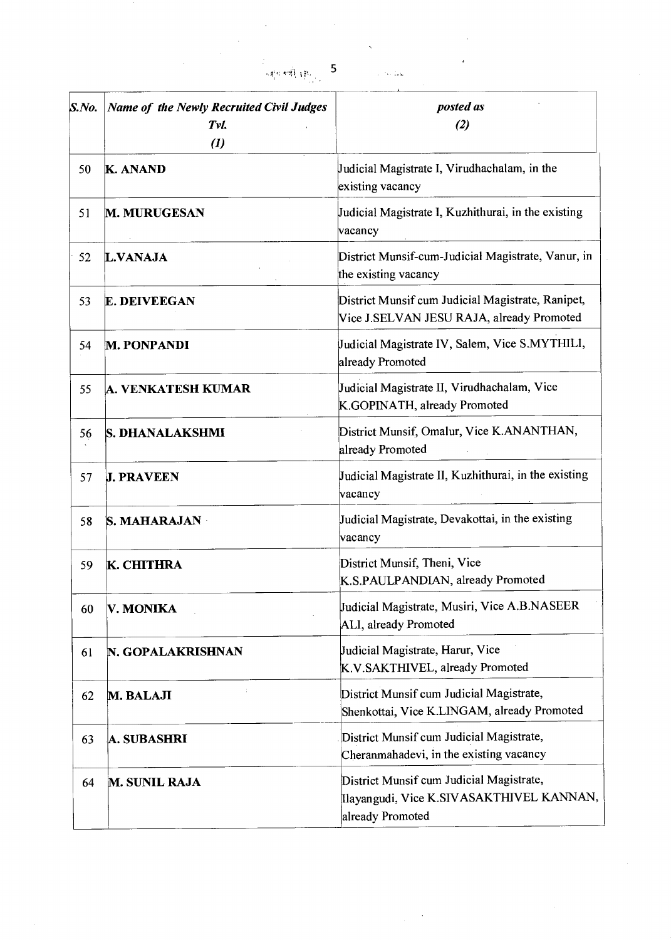| S.No. | <b>Name of the Newly Recruited Civil Judges</b><br>Tvl.<br>$\boldsymbol{(\mathit{l})}$ | posted as<br>(2)                                                                                         |
|-------|----------------------------------------------------------------------------------------|----------------------------------------------------------------------------------------------------------|
| 50    | <b>K. ANAND</b>                                                                        | Judicial Magistrate I, Virudhachalam, in the<br>existing vacancy                                         |
| 51    | <b>M. MURUGESAN</b>                                                                    | Judicial Magistrate I, Kuzhithurai, in the existing<br>vacancy                                           |
| 52    | <b>L.VANAJA</b>                                                                        | District Munsif-cum-Judicial Magistrate, Vanur, in<br>the existing vacancy                               |
| 53    | <b>E. DEIVEEGAN</b>                                                                    | District Munsif cum Judicial Magistrate, Ranipet,<br>Vice J.SELVAN JESU RAJA, already Promoted           |
| 54    | <b>M. PONPANDI</b>                                                                     | Judicial Magistrate IV, Salem, Vice S.MYTHILI,<br>already Promoted                                       |
| 55    | A. VENKATESH KUMAR                                                                     | Judicial Magistrate II, Virudhachalam, Vice<br>K.GOPINATH, already Promoted                              |
| 56    | <b>S. DHANALAKSHMI</b>                                                                 | District Munsif, Omalur, Vice K.ANANTHAN,<br>already Promoted                                            |
| 57    | <b>J. PRAVEEN</b>                                                                      | Judicial Magistrate II, Kuzhithurai, in the existing<br>vacancy                                          |
| 58    | <b>S. MAHARAJAN</b>                                                                    | Judicial Magistrate, Devakottai, in the existing<br>vacancy                                              |
| 59    | <b>K. CHITHRA</b>                                                                      | District Munsif, Theni, Vice<br>K.S.PAULPANDIAN, already Promoted                                        |
| 60    | V. MONIKA                                                                              | Judicial Magistrate, Musiri, Vice A.B.NASEER<br>ALI, already Promoted                                    |
| 61    | N. GOPALAKRISHNAN                                                                      | Judicial Magistrate, Harur, Vice<br>K.V.SAKTHIVEL, already Promoted                                      |
| 62    | M. BALAJI                                                                              | District Munsif cum Judicial Magistrate,<br>Shenkottai, Vice K.LINGAM, already Promoted                  |
| 63    | <b>A. SUBASHRI</b>                                                                     | District Munsif cum Judicial Magistrate,<br>Cheranmahadevi, in the existing vacancy                      |
| 64    | <b>M. SUNIL RAJA</b>                                                                   | District Munsif cum Judicial Magistrate,<br>Ilayangudi, Vice K.SIVASAKTHIVEL KANNAN,<br>already Promoted |

ं<br>जङ्ग्वरूको <sub>धोर</sub>् 5

ال<br>العقادية ال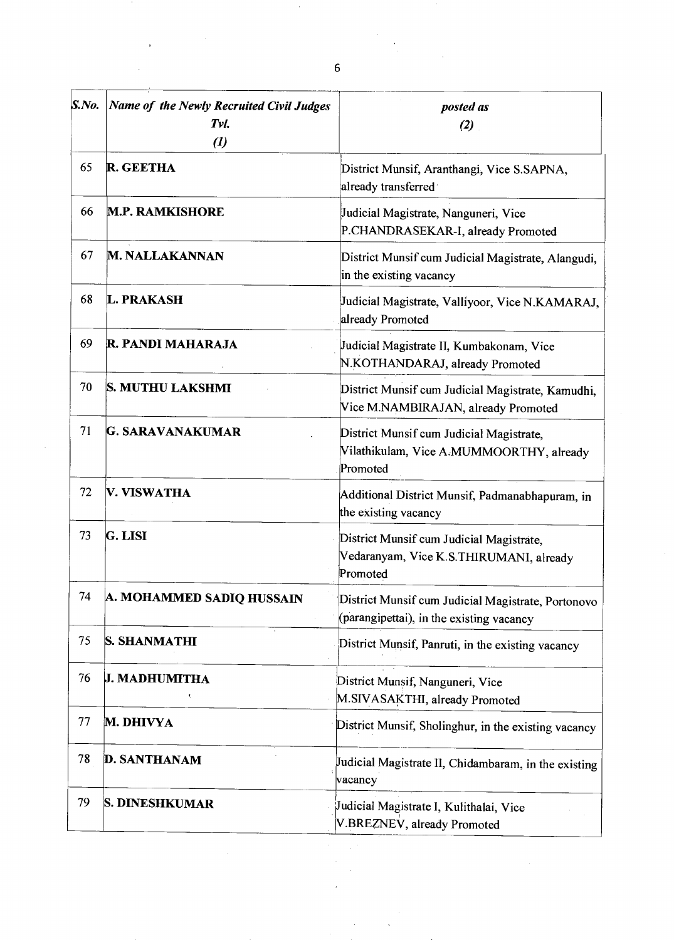| S. No. | Name of the Newly Recruited Civil Judges<br>Tvl.<br>$\boldsymbol{r}$ | posted as<br>(2)                                                                                 |
|--------|----------------------------------------------------------------------|--------------------------------------------------------------------------------------------------|
| 65     | <b>R. GEETHA</b>                                                     | District Munsif, Aranthangi, Vice S.SAPNA,<br>already transferred                                |
| 66     | <b>M.P. RAMKISHORE</b>                                               | Judicial Magistrate, Nanguneri, Vice<br>P.CHANDRASEKAR-I, already Promoted                       |
| 67     | <b>M. NALLAKANNAN</b>                                                | District Munsif cum Judicial Magistrate, Alangudi,<br>in the existing vacancy                    |
| 68     | <b>L. PRAKASH</b>                                                    | Judicial Magistrate, Valliyoor, Vice N.KAMARAJ,<br>already Promoted                              |
| 69     | R. PANDI MAHARAJA                                                    | Judicial Magistrate II, Kumbakonam, Vice<br>N.KOTHANDARAJ, already Promoted                      |
| 70     | S. MUTHU LAKSHMI                                                     | District Munsif cum Judicial Magistrate, Kamudhi,<br>Vice M.NAMBIRAJAN, already Promoted         |
| 71     | G. SARAVANAKUMAR                                                     | District Munsif cum Judicial Magistrate,<br>Vilathikulam, Vice A.MUMMOORTHY, already<br>Promoted |
| 72     | V. VISWATHA                                                          | Additional District Munsif, Padmanabhapuram, in<br>the existing vacancy                          |
| 73     | G. LISI                                                              | District Munsif cum Judicial Magistrate,<br>Vedaranyam, Vice K.S.THIRUMANI, already<br>Promoted  |
| 74     | A. MOHAMMED SADIQ HUSSAIN                                            | District Munsif cum Judicial Magistrate, Portonovo<br>(parangipettai), in the existing vacancy   |
| 75     | <b>S. SHANMATHI</b>                                                  | District Munsif, Panruti, in the existing vacancy                                                |
| 76     | <b>J. MADHUMITHA</b>                                                 | District Munsif, Nanguneri, Vice<br>M.SIVASAKTHI, already Promoted                               |
| 77     | M. DHIVYA                                                            | District Munsif, Sholinghur, in the existing vacancy                                             |
| 78     | <b>D. SANTHANAM</b>                                                  | Judicial Magistrate II, Chidambaram, in the existing<br>vacancy                                  |
| 79     | S. DINESHKUMAR                                                       | Judicial Magistrate I, Kulithalai, Vice<br>V.BREZNEV, already Promoted                           |

 $\mathcal{L}^{\text{max}}_{\text{max}}$ 

 $\mathcal{L}^{\mathcal{I}}$ 

 $\label{eq:2.1} \begin{split} \frac{1}{\sqrt{2}}\left(\frac{1}{\sqrt{2}}\right)^{1/2} &\frac{1}{\sqrt{2}}\left(\frac{1}{\sqrt{2}}\right)^{1/2} \end{split}$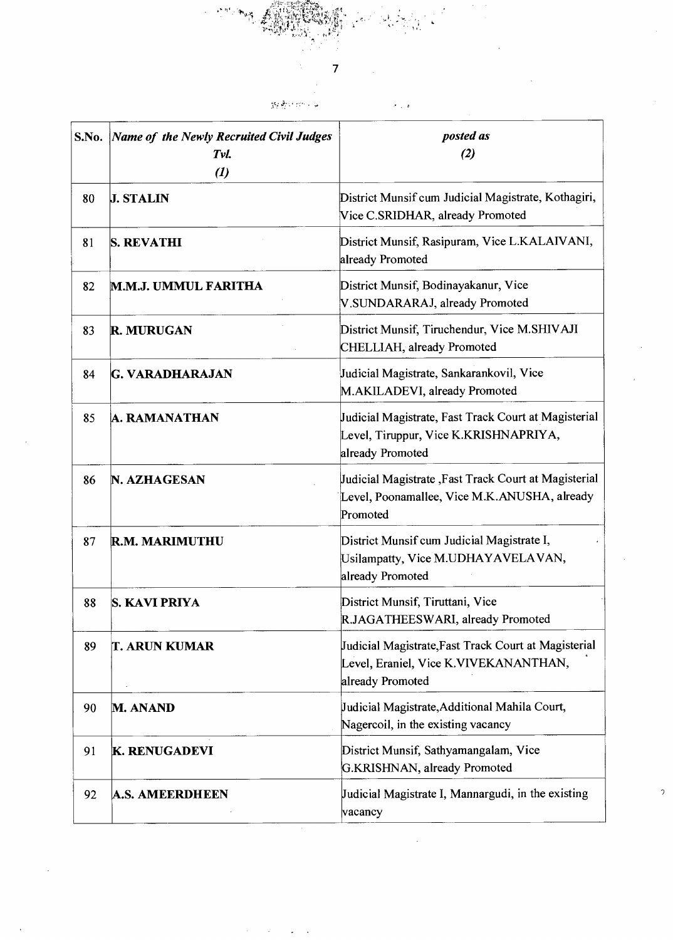S.No. *Name of the Newly Recruited Civil Judges Tvi. (1) posted as (2)*  80 J. STALIN District Munsif cum Judicial Magistrate, Kothagiri, Vice C.SRIDHAR, already Promoted 81 S. REVATHI District Munsif, Rasipuram, Vice L.KALAIVANI, already Promoted 82 M.M.J. UMMUL FARITHA District Munsif, Bodinayakanur, Vice V.SUNDARARAJ, already Promoted 83 R. MURUGAN District Munsif, Tiruchendur, Vice M.SHIVAJI CHELLIAH, already Promoted 84 G. VARADHARAJAN Judicial Magistrate, Sankarankovil, Vice M.AKILADEVI, already Promoted 85 A. RAMANATHAN Judicial Magistrate, Fast Track Court at Magisterial Level, Tiruppur, Vice K.KRISHNAPRIYA, already Promoted 86 **N. AZHAGESAN** Judicial Magistrate ,Fast Track Court at Magisterial Level, Poonamallee, Vice M.K.ANUSHA, already Promoted 87 R.M. MARIMUTHU District Munsif cum Judicial Magistrate I, Usilampatty, Vice M.UDHAYAVELAVAN, already Promoted 88 S. KAVI PRIYA District Munsif, Tiruttani, Vice RJAGATHEESWARI, already Promoted 89 T. ARUN KUMAR Judicial Magistrate,Fast Track Court at Magisterial Level, Eraniel, Vice K.VIVEKANANTHAN, already Promoted 90 M. ANAND Judicial Magistrate,Additional Mahila Court, Nagercoil, in the existing vacancy 91 K. RENUGADEVI District Munsif, Sathyamangalam, Vice G.KRISHNAN, already Promoted 92 A.S. AMEERDHEEN Judicial Magistrate I, Mannargudi, in the existing vacancy A.S. AMEERDHEEN

7

gy@sternik w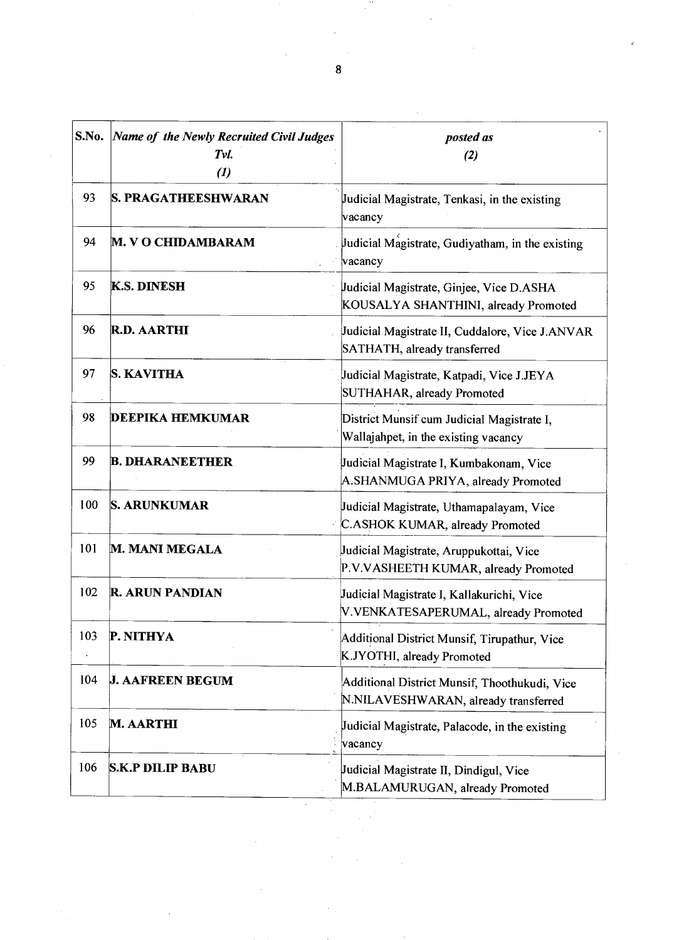| S.No. | Name of the Newly Recruited Civil Judges<br>Tvl.<br>$\boldsymbol{u}$ | posted as<br>(2)                                                                      |
|-------|----------------------------------------------------------------------|---------------------------------------------------------------------------------------|
| 93    | <b>S. PRAGATHEESHWARAN</b>                                           | Judicial Magistrate, Tenkasi, in the existing<br>vacancy                              |
| 94    | <b>M. V O CHIDAMBARAM</b>                                            | Judicial Magistrate, Gudiyatham, in the existing<br>vacancy                           |
| 95    | <b>K.S. DINESH</b>                                                   | Judicial Magistrate, Ginjee, Vice D.ASHA<br>KOUSALYA SHANTHINI, already Promoted      |
| 96    | <b>R.D. AARTHI</b>                                                   | Judicial Magistrate II, Cuddalore, Vice J.ANVAR<br>SATHATH, already transferred       |
| 97    | <b>S. KAVITHA</b>                                                    | Judicial Magistrate, Katpadi, Vice J.JEYA<br>SUTHAHAR, already Promoted               |
| 98    | <b>DEEPIKA HEMKUMAR</b>                                              | District Munsif cum Judicial Magistrate I,<br>Wallajahpet, in the existing vacancy    |
| 99    | <b>B. DHARANEETHER</b>                                               | Judicial Magistrate I, Kumbakonam, Vice<br>A.SHANMUGA PRIYA, already Promoted         |
| 100   | <b>S. ARUNKUMAR</b>                                                  | Judicial Magistrate, Uthamapalayam, Vice<br>C.ASHOK KUMAR, already Promoted           |
| 101   | <b>M. MANI MEGALA</b>                                                | Judicial Magistrate, Aruppukottai, Vice<br>P.V.VASHEETH KUMAR, already Promoted       |
| 102   | <b>R. ARUN PANDIAN</b>                                               | Judicial Magistrate I, Kallakurichi, Vice<br>V.VENKATESAPERUMAL, already Promoted     |
| 103   | P. NITHYA                                                            | Additional District Munsif, Tirupathur, Vice<br>K.JYOTHI, already Promoted            |
| 104   | <b>J. AAFREEN BEGUM</b>                                              | Additional District Munsif, Thoothukudi, Vice<br>N.NILAVESHWARAN, already transferred |
| 105   | <b>M. AARTHI</b>                                                     | Judicial Magistrate, Palacode, in the existing<br>vacancy                             |
| 106   | <b>S.K.P DILIP BABU</b>                                              | Judicial Magistrate II, Dindigul, Vice<br>M.BALAMURUGAN, already Promoted             |
|       |                                                                      |                                                                                       |

 $\label{eq:2.1} \frac{1}{\sqrt{2\pi}}\sum_{i=1}^{n-1}\frac{1}{\sqrt{2\pi}}\int_{0}^{\pi} \frac{1}{\sqrt{2\pi}}\frac{1}{\sqrt{2\pi}}\frac{1}{\sqrt{2\pi}}\frac{1}{\sqrt{2\pi}}\frac{1}{\sqrt{2\pi}}\frac{1}{\sqrt{2\pi}}\frac{1}{\sqrt{2\pi}}\frac{1}{\sqrt{2\pi}}\frac{1}{\sqrt{2\pi}}\frac{1}{\sqrt{2\pi}}\frac{1}{\sqrt{2\pi}}\frac{1}{\sqrt{2\pi}}\frac{1}{\sqrt{2\pi}}\frac{1}{\sqrt{2\pi$ 

 $\hat{\mathcal{E}}$ 

an<br>K

 $\hat{\mathcal{L}}$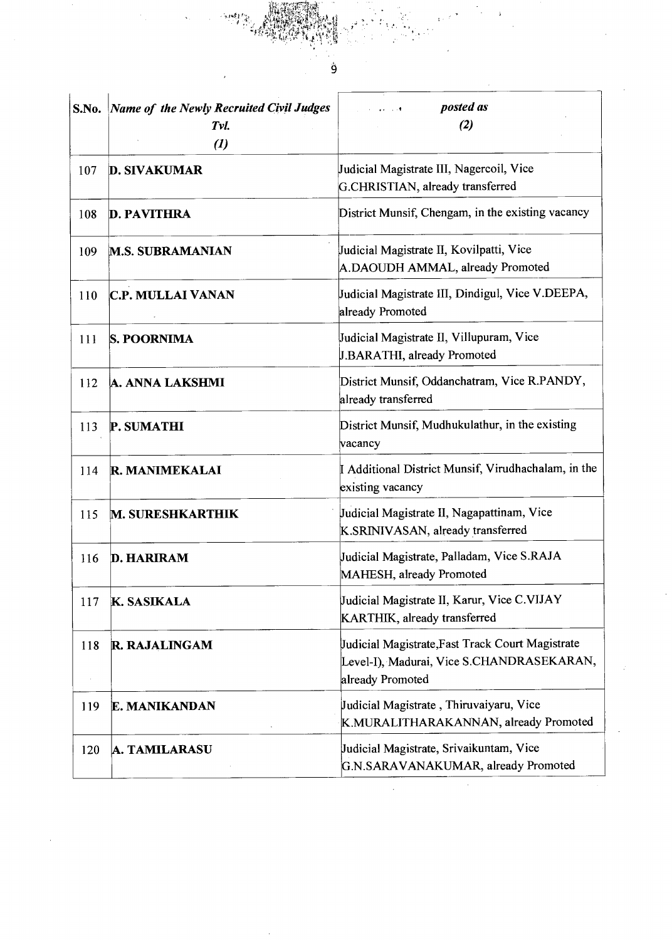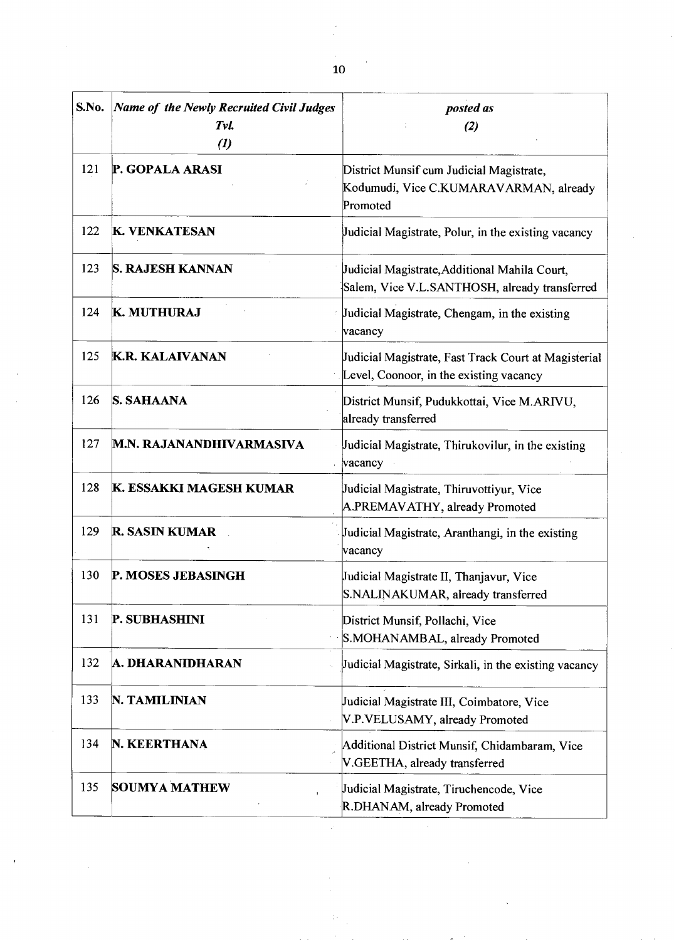$\frac{1}{2}$ 

| S.No. | Name of the Newly Recruited Civil Judges<br>Tvl.<br>$\boldsymbol{(\mathit{l})}$ | posted as<br>(2)                                                                                |
|-------|---------------------------------------------------------------------------------|-------------------------------------------------------------------------------------------------|
| 121   | P. GOPALA ARASI                                                                 | District Munsif cum Judicial Magistrate,<br>Kodumudi, Vice C.KUMARAVARMAN, already<br>Promoted  |
| 122   | <b>K. VENKATESAN</b>                                                            | Judicial Magistrate, Polur, in the existing vacancy                                             |
| 123   | <b>S. RAJESH KANNAN</b>                                                         | Judicial Magistrate, Additional Mahila Court,<br>Salem, Vice V.L.SANTHOSH, already transferred  |
| 124   | K. MUTHURAJ                                                                     | Judicial Magistrate, Chengam, in the existing<br>vacancy                                        |
| 125   | <b>K.R. KALAIVANAN</b>                                                          | Judicial Magistrate, Fast Track Court at Magisterial<br>Level, Coonoor, in the existing vacancy |
| 126   | <b>S. SAHAANA</b>                                                               | District Munsif, Pudukkottai, Vice M.ARIVU,<br>already transferred                              |
| 127   | M.N. RAJANANDHIVARMASIVA                                                        | Judicial Magistrate, Thirukovilur, in the existing<br>vacancy                                   |
| 128   | K. ESSAKKI MAGESH KUMAR                                                         | Judicial Magistrate, Thiruvottiyur, Vice<br>A.PREMAVATHY, already Promoted                      |
| 129   | <b>R. SASIN KUMAR</b>                                                           | Judicial Magistrate, Aranthangi, in the existing<br>vacancy                                     |
| 130   | P. MOSES JEBASINGH                                                              | Judicial Magistrate II, Thanjavur, Vice<br>S.NALINAKUMAR, already transferred                   |
| 131   | P. SUBHASHINI                                                                   | District Munsif, Pollachi, Vice<br>S.MOHANAMBAL, already Promoted                               |
| 132   | A. DHARANIDHARAN                                                                | Judicial Magistrate, Sirkali, in the existing vacancy                                           |
| 133   | N. TAMILINIAN                                                                   | Judicial Magistrate III, Coimbatore, Vice<br>V.P.VELUSAMY, already Promoted                     |
| 134   | N. KEERTHANA                                                                    | Additional District Munsif, Chidambaram, Vice<br>V.GEETHA, already transferred                  |
| 135   | <b>SOUMYA MATHEW</b>                                                            | Judicial Magistrate, Tiruchencode, Vice<br>R.DHANAM, already Promoted                           |

ţ.

 $\overline{t}$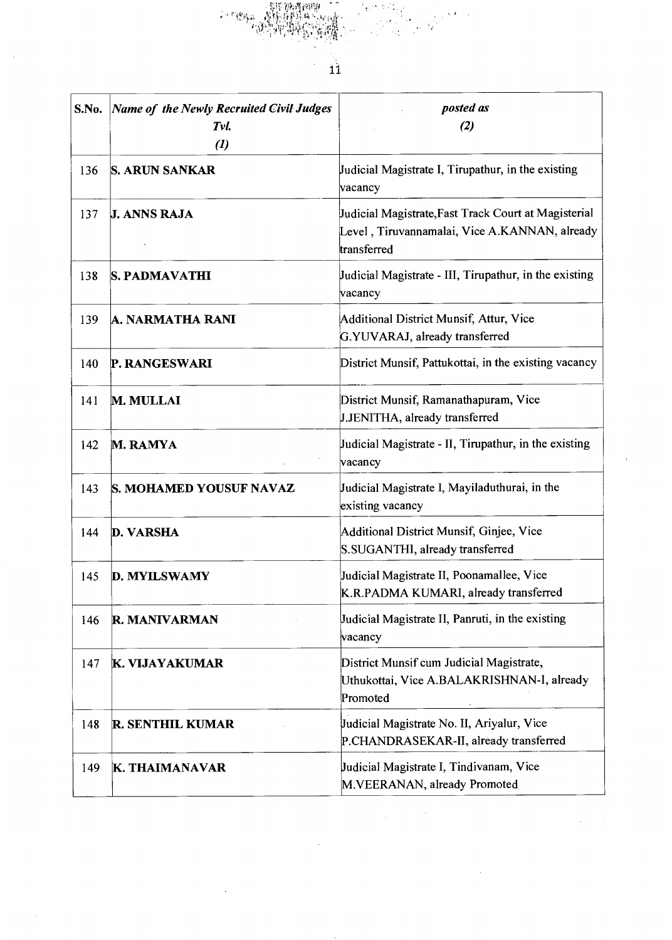

 $\hat{\mathcal{A}}$ 

 $\bar{z}$ 

| S.No. | <b>Name of the Newly Recruited Civil Judges</b><br>Tvl.<br>$\left( l\right)$ | posted as<br>(2)                                                                                                     |
|-------|------------------------------------------------------------------------------|----------------------------------------------------------------------------------------------------------------------|
| 136   | <b>S. ARUN SANKAR</b>                                                        | Judicial Magistrate I, Tirupathur, in the existing<br>vacancy                                                        |
| 137   | <b>J. ANNS RAJA</b>                                                          | Judicial Magistrate, Fast Track Court at Magisterial<br>Level, Tiruvannamalai, Vice A.KANNAN, already<br>transferred |
| 138   | S. PADMAVATHI                                                                | Judicial Magistrate - III, Tirupathur, in the existing<br>vacancy                                                    |
| 139   | A. NARMATHA RANI                                                             | Additional District Munsif, Attur, Vice<br>G.YUVARAJ, already transferred                                            |
| 140   | P. RANGESWARI                                                                | District Munsif, Pattukottai, in the existing vacancy                                                                |
| 141   | <b>M. MULLAI</b>                                                             | District Munsif, Ramanathapuram, Vice<br>J.JENITHA, already transferred                                              |
| 142   | M. RAMYA                                                                     | Judicial Magistrate - II, Tirupathur, in the existing<br>vacancy                                                     |
| 143   | S. MOHAMED YOUSUF NAVAZ                                                      | Judicial Magistrate I, Mayiladuthurai, in the<br>existing vacancy                                                    |
| 144   | <b>D. VARSHA</b>                                                             | Additional District Munsif, Ginjee, Vice<br>S.SUGANTHI, already transferred                                          |
| 145   | <b>D. MYILSWAMY</b>                                                          | Judicial Magistrate II, Poonamallee, Vice<br>K.R.PADMA KUMARI, already transferred                                   |
| 146   | R. MANIVARMAN                                                                | Judicial Magistrate II, Panruti, in the existing<br>vacancy                                                          |
| 147   | K. VIJAYAKUMAR                                                               | District Munsif cum Judicial Magistrate,<br>Uthukottai, Vice A.BALAKRISHNAN-I, already<br>Promoted                   |
| 148   | R. SENTHIL KUMAR                                                             | Judicial Magistrate No. II, Ariyalur, Vice<br>P.CHANDRASEKAR-II, already transferred                                 |
| 149   | K. THAIMANAVAR                                                               | Judicial Magistrate I, Tindivanam, Vice<br>M.VEERANAN, already Promoted                                              |

 $\bar{\mathcal{A}}$ 

 $\ddot{\phantom{0}}$ 

 $\sim$   $\sim$ 

 $\hat{\mathcal{A}}$ 

 $\hat{\mathbf{r}}$ 

 $\overline{\phantom{a}}$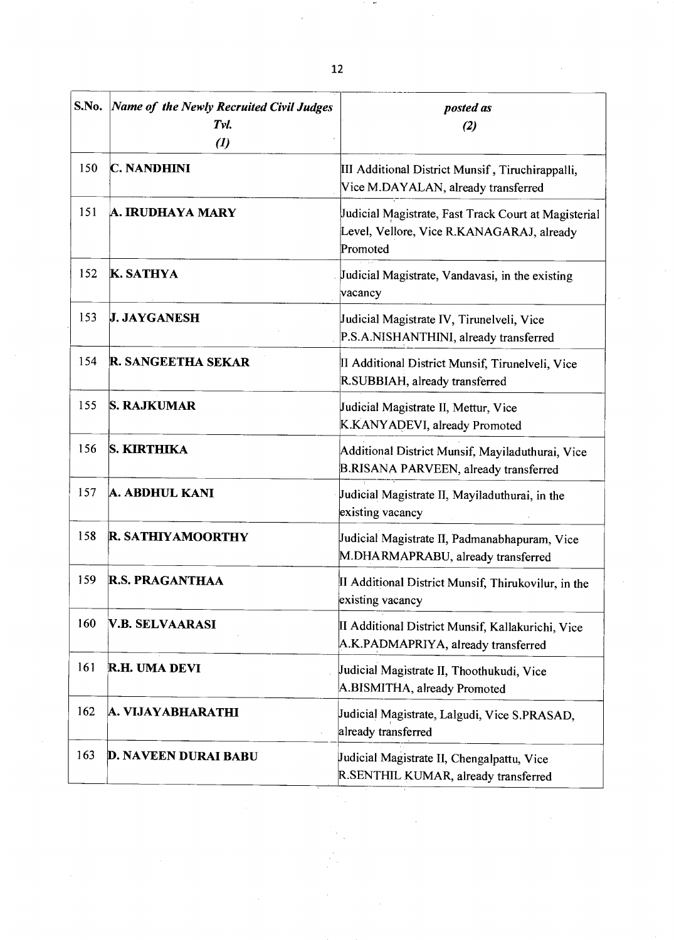| S.No. | Name of the Newly Recruited Civil Judges<br>Tvl.<br>$\left( l\right)$ | posted as<br>$(2)$                                                                                            |
|-------|-----------------------------------------------------------------------|---------------------------------------------------------------------------------------------------------------|
| 150   | <b>C. NANDHINI</b>                                                    | III Additional District Munsif, Tiruchirappalli,<br>Vice M.DAYALAN, already transferred                       |
| 151   | A. IRUDHAYA MARY                                                      | Judicial Magistrate, Fast Track Court at Magisterial<br>Level, Vellore, Vice R.KANAGARAJ, already<br>Promoted |
| 152   | <b>K. SATHYA</b>                                                      | Judicial Magistrate, Vandavasi, in the existing<br>vacancy                                                    |
| 153   | <b>J. JAYGANESH</b>                                                   | Judicial Magistrate IV, Tirunelveli, Vice<br>P.S.A.NISHANTHINI, already transferred                           |
| 154   | <b>R. SANGEETHA SEKAR</b>                                             | II Additional District Munsif, Tirunelveli, Vice<br>R.SUBBIAH, already transferred                            |
| 155   | <b>S. RAJKUMAR</b>                                                    | Judicial Magistrate II, Mettur, Vice<br>K.KANYADEVI, already Promoted                                         |
| 156   | <b>S. KIRTHIKA</b>                                                    | Additional District Munsif, Mayiladuthurai, Vice<br>B.RISANA PARVEEN, already transferred                     |
| 157   | A. ABDHUL KANI                                                        | Judicial Magistrate II, Mayiladuthurai, in the<br>existing vacancy                                            |
| 158   | <b>R. SATHIYAMOORTHY</b>                                              | Judicial Magistrate II, Padmanabhapuram, Vice<br>M.DHARMAPRABU, already transferred                           |
| 159   | <b>R.S. PRAGANTHAA</b>                                                | II Additional District Munsif, Thirukovilur, in the<br>existing vacancy                                       |
| 160   | <b>V.B. SELVAARASI</b>                                                | II Additional District Munsif, Kallakurichi, Vice<br>A.K.PADMAPRIYA, already transferred                      |
| 161   | R.H. UMA DEVI                                                         | Judicial Magistrate II, Thoothukudi, Vice<br>A.BISMITHA, already Promoted                                     |
| 162   | A. VIJAYABHARATHI                                                     | Judicial Magistrate, Lalgudi, Vice S.PRASAD,<br>already transferred                                           |
| 163   | <b>D. NAVEEN DURAI BABU</b>                                           | Judicial Magistrate II, Chengalpattu, Vice<br>R.SENTHIL KUMAR, already transferred                            |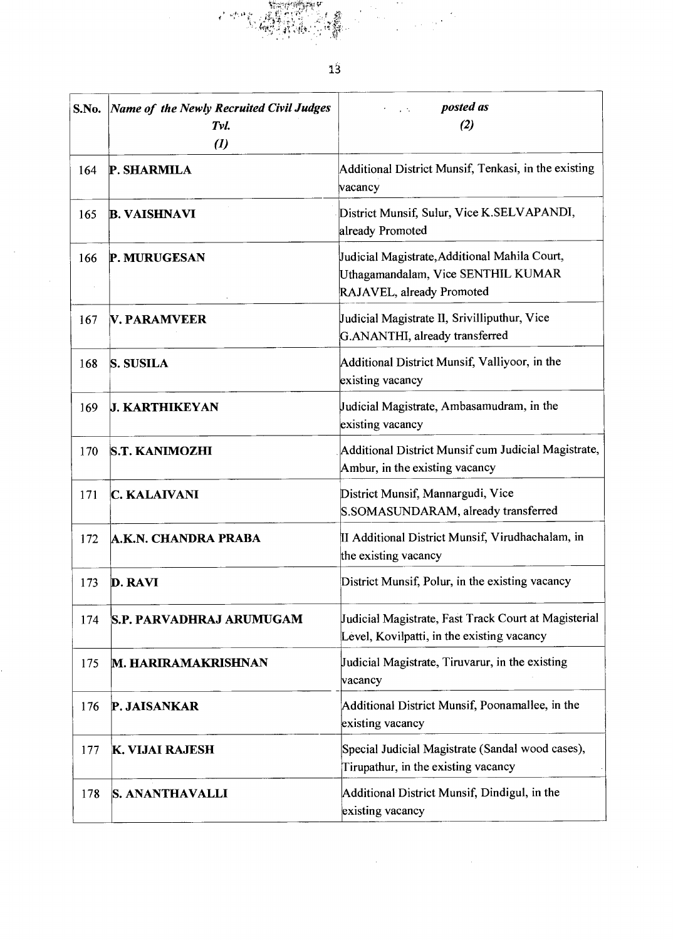**SALES**  $13$ posted as S.No. *Name of the Newly Recruited Civil Judges posted (2) Tvl.* 

 $\sim 10^{-10}$ 

 $\kappa_{\rm p}^{\rm ch}$  at Î.

 $\mathcal{L}_{\mathcal{A}}$ 

 $\bar{z}$ 

|     | 1 vi.<br>$\boldsymbol{u}$       | (4)                                                                                                              |
|-----|---------------------------------|------------------------------------------------------------------------------------------------------------------|
| 164 | P. SHARMILA                     | Additional District Munsif, Tenkasi, in the existing<br>vacancy                                                  |
| 165 | <b>B. VAISHNAVI</b>             | District Munsif, Sulur, Vice K.SELVAPANDI,<br>already Promoted                                                   |
| 166 | P. MURUGESAN                    | Judicial Magistrate, Additional Mahila Court,<br>Uthagamandalam, Vice SENTHIL KUMAR<br>RAJAVEL, already Promoted |
| 167 | <b>V. PARAMVEER</b>             | Judicial Magistrate II, Srivilliputhur, Vice<br>G.ANANTHI, already transferred                                   |
| 168 | S. SUSILA                       | Additional District Munsif, Valliyoor, in the<br>existing vacancy                                                |
| 169 | <b>J. KARTHIKEYAN</b>           | Judicial Magistrate, Ambasamudram, in the<br>existing vacancy                                                    |
| 170 | <b>S.T. KANIMOZHI</b>           | Additional District Munsif cum Judicial Magistrate,<br>Ambur, in the existing vacancy                            |
| 171 | <b>C. KALAIVANI</b>             | District Munsif, Mannargudi, Vice<br>S.SOMASUNDARAM, already transferred                                         |
| 172 | A.K.N. CHANDRA PRABA            | II Additional District Munsif, Virudhachalam, in<br>the existing vacancy                                         |
| 173 | <b>D. RAVI</b>                  | District Munsif, Polur, in the existing vacancy                                                                  |
| 174 | <b>S.P. PARVADHRAJ ARUMUGAM</b> | Judicial Magistrate, Fast Track Court at Magisterial<br>Level, Kovilpatti, in the existing vacancy               |
| 175 | <b>M. HARIRAMAKRISHNAN</b>      | Judicial Magistrate, Tiruvarur, in the existing<br>vacancy                                                       |
| 176 | P. JAISANKAR                    | Additional District Munsif, Poonamallee, in the<br>existing vacancy                                              |
| 177 | K. VIJAI RAJESH                 | Special Judicial Magistrate (Sandal wood cases),<br>Tirupathur, in the existing vacancy                          |
| 178 | <b>S. ANANTHAVALLI</b>          | Additional District Munsif, Dindigul, in the<br>existing vacancy                                                 |

 $\sim$   $\sim$ 

 $\bar{z}$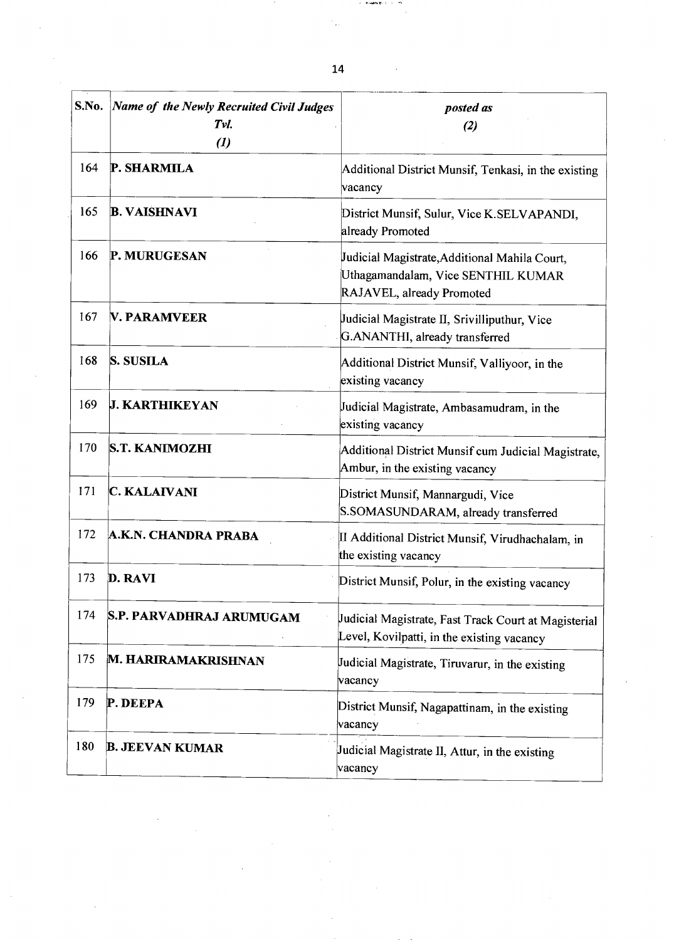| S.No. | Name of the Newly Recruited Civil Judges<br>Tvl.<br>$\left( l\right)$ | posted as<br>(2)                                                                                                 |
|-------|-----------------------------------------------------------------------|------------------------------------------------------------------------------------------------------------------|
| 164   | P. SHARMILA                                                           | Additional District Munsif, Tenkasi, in the existing<br>vacancy                                                  |
| 165   | <b>B. VAISHNAVI</b>                                                   | District Munsif, Sulur, Vice K.SELVAPANDI,<br>already Promoted                                                   |
| 166   | P. MURUGESAN                                                          | Judicial Magistrate, Additional Mahila Court,<br>Uthagamandalam, Vice SENTHIL KUMAR<br>RAJAVEL, already Promoted |
| 167   | <b>V. PARAMVEER</b>                                                   | Judicial Magistrate II, Srivilliputhur, Vice<br>G.ANANTHI, already transferred                                   |
| 168   | <b>S. SUSILA</b>                                                      | Additional District Munsif, Valliyoor, in the<br>existing vacancy                                                |
| 169   | <b>J. KARTHIKEYAN</b>                                                 | Judicial Magistrate, Ambasamudram, in the<br>existing vacancy                                                    |
| 170   | <b>S.T. KANIMOZHI</b>                                                 | Additional District Munsif cum Judicial Magistrate,<br>Ambur, in the existing vacancy                            |
| 171   | C. KALAIVANI                                                          | District Munsif, Mannargudi, Vice<br>S.SOMASUNDARAM, already transferred                                         |
| 172   | A.K.N. CHANDRA PRABA                                                  | II Additional District Munsif, Virudhachalam, in<br>the existing vacancy                                         |
| 173   | D. RAVI                                                               | District Munsif, Polur, in the existing vacancy                                                                  |
| 174   | S.P. PARVADHRAJ ARUMUGAM                                              | Judicial Magistrate, Fast Track Court at Magisterial<br>Level, Kovilpatti, in the existing vacancy               |
| 175   | M. HARIRAMAKRISHNAN                                                   | Judicial Magistrate, Tiruvarur, in the existing<br>vacancy                                                       |
| 179   | P. DEEPA                                                              | District Munsif, Nagapattinam, in the existing<br>vacancy                                                        |
| 180   | <b>B. JEEVAN KUMAR</b>                                                | Judicial Magistrate II, Attur, in the existing<br>vacancy                                                        |

14

٠,

 $\tau$  . Assigningly,  $\tau$  ,  $\tau$ 

 $\sim$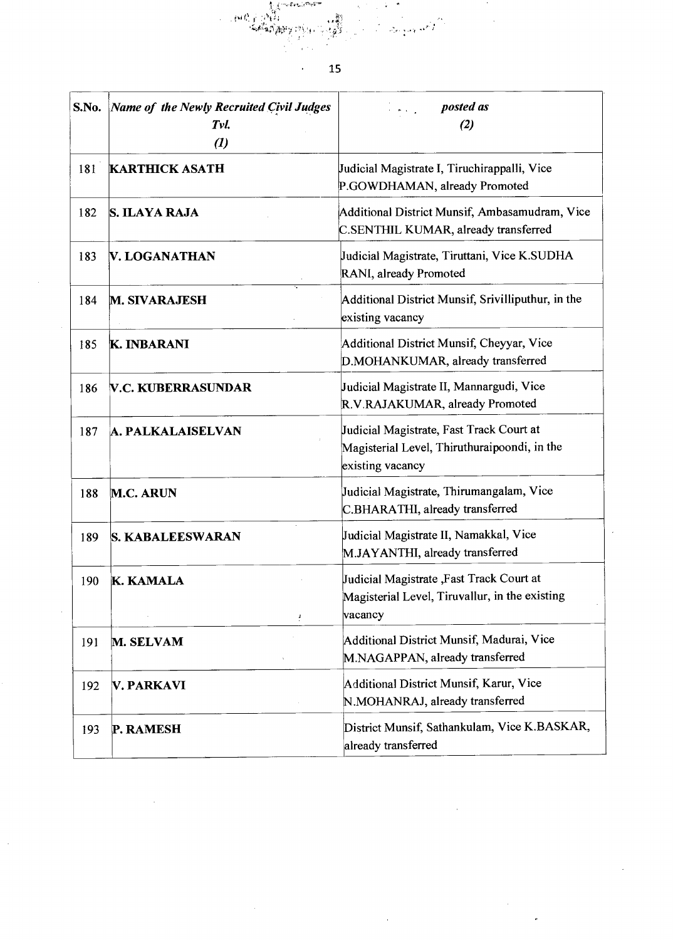ومستحصلها<br>الجواري الجواري<br>الجاري الجوارة الصحيفة a (tr.)<br>Sangang di Kalèndher Ka 

l,

 $\bar{\psi}$ 

15

 $\ddot{\phantom{a}}$ 

| S.No. | <b>Name of the Newly Recruited Civil Judges</b><br>Tvl.<br>$\left( l\right)$ | posted as<br>والمناهبات<br>(2)                                                                               |
|-------|------------------------------------------------------------------------------|--------------------------------------------------------------------------------------------------------------|
| 181   | <b>KARTHICK ASATH</b>                                                        | Judicial Magistrate I, Tiruchirappalli, Vice<br>P.GOWDHAMAN, already Promoted                                |
| 182   | <b>S. ILAYA RAJA</b>                                                         | Additional District Munsif, Ambasamudram, Vice<br>C.SENTHIL KUMAR, already transferred                       |
| 183   | V. LOGANATHAN                                                                | Judicial Magistrate, Tiruttani, Vice K.SUDHA<br>RANI, already Promoted                                       |
| 184   | <b>M. SIVARAJESH</b>                                                         | Additional District Munsif, Srivilliputhur, in the<br>existing vacancy                                       |
| 185   | <b>K. INBARANI</b>                                                           | Additional District Munsif, Cheyyar, Vice<br>D.MOHANKUMAR, already transferred                               |
| 186   | <b>V.C. KUBERRASUNDAR</b>                                                    | Judicial Magistrate II, Mannargudi, Vice<br>R.V.RAJAKUMAR, already Promoted                                  |
| 187   | <b>A. PALKALAISELVAN</b>                                                     | Judicial Magistrate, Fast Track Court at<br>Magisterial Level, Thiruthuraipoondi, in the<br>existing vacancy |
| 188   | <b>M.C. ARUN</b>                                                             | Judicial Magistrate, Thirumangalam, Vice<br>C.BHARATHI, already transferred                                  |
| 189   | <b>S. KABALEESWARAN</b>                                                      | Judicial Magistrate II, Namakkal, Vice<br>M.JAYANTHI, already transferred                                    |
| 190   | <b>K. KAMALA</b>                                                             | Judicial Magistrate, Fast Track Court at<br>Magisterial Level, Tiruvallur, in the existing<br>vacancy        |
| 191   | M. SELVAM                                                                    | Additional District Munsif, Madurai, Vice<br>M.NAGAPPAN, already transferred                                 |
| 192   | <b>V. PARKAVI</b>                                                            | Additional District Munsif, Karur, Vice<br>N.MOHANRAJ, already transferred                                   |
| 193   | P. RAMESH                                                                    | District Munsif, Sathankulam, Vice K.BASKAR,<br>already transferred                                          |

 $\hat{\mathcal{A}}$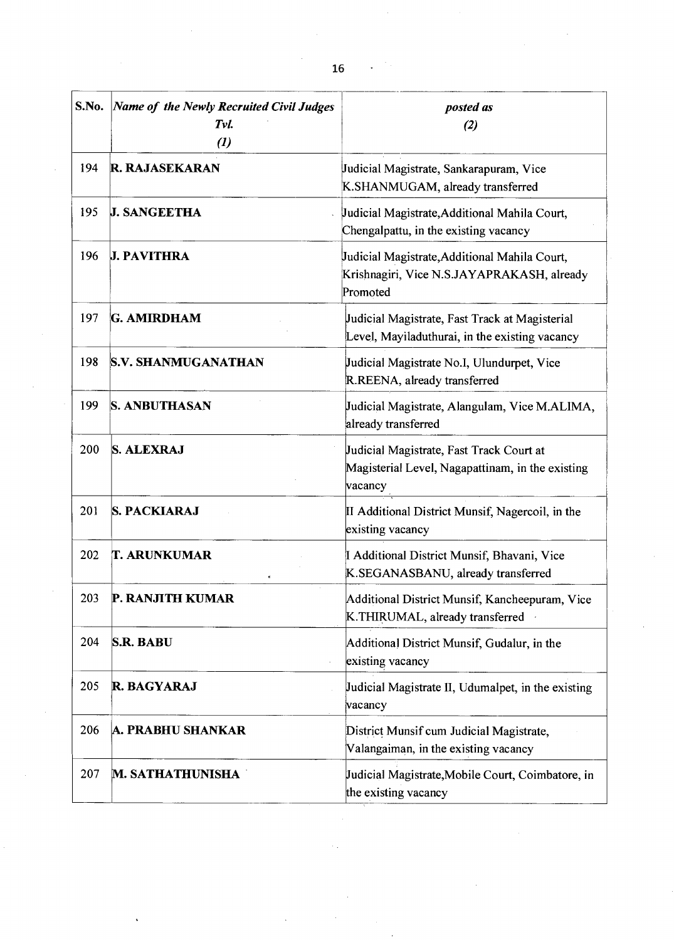| S.No. | <b>Name of the Newly Recruited Civil Judges</b><br>Tvl.<br>$\left( l\right)$ | posted as<br>(2)                                                                                        |
|-------|------------------------------------------------------------------------------|---------------------------------------------------------------------------------------------------------|
| 194   | <b>R. RAJASEKARAN</b>                                                        | Judicial Magistrate, Sankarapuram, Vice<br>K.SHANMUGAM, already transferred                             |
| 195   | <b>J. SANGEETHA</b>                                                          | Judicial Magistrate, Additional Mahila Court,<br>Chengalpattu, in the existing vacancy                  |
| 196   | <b>J. PAVITHRA</b>                                                           | Judicial Magistrate, Additional Mahila Court,<br>Krishnagiri, Vice N.S.JAYAPRAKASH, already<br>Promoted |
| 197   | <b>G. AMIRDHAM</b>                                                           | Judicial Magistrate, Fast Track at Magisterial<br>Level, Mayiladuthurai, in the existing vacancy        |
| 198   | <b>S.V. SHANMUGANATHAN</b>                                                   | Judicial Magistrate No.I, Ulundurpet, Vice<br>R.REENA, already transferred                              |
| 199   | <b>S. ANBUTHASAN</b>                                                         | Judicial Magistrate, Alangulam, Vice M.ALIMA,<br>already transferred                                    |
| 200   | <b>S. ALEXRAJ</b>                                                            | Judicial Magistrate, Fast Track Court at<br>Magisterial Level, Nagapattinam, in the existing<br>vacancy |
| 201   | <b>S. PACKIARAJ</b>                                                          | II Additional District Munsif, Nagercoil, in the<br>existing vacancy                                    |
| 202   | <b>T. ARUNKUMAR</b>                                                          | I Additional District Munsif, Bhavani, Vice<br>K.SEGANASBANU, already transferred                       |
| 203   | P. KANJITH KUMAR                                                             | Additional District Munsif, Kancheepuram, Vice<br>K.THIRUMAL, already transferred                       |
| 204   | <b>S.R. BABU</b>                                                             | Additional District Munsif, Gudalur, in the<br>existing vacancy                                         |
| 205   | <b>R. BAGYARAJ</b>                                                           | Judicial Magistrate II, Udumalpet, in the existing<br>vacancy                                           |
| 206   | A. PRABHU SHANKAR                                                            | District Munsif cum Judicial Magistrate,<br>Valangaiman, in the existing vacancy                        |
| 207   | <b>M. SATHATHUNISHA</b>                                                      | Judicial Magistrate, Mobile Court, Coimbatore, in<br>the existing vacancy                               |

 $\bar{\beta}$ 

 $\hat{\boldsymbol{\beta}}$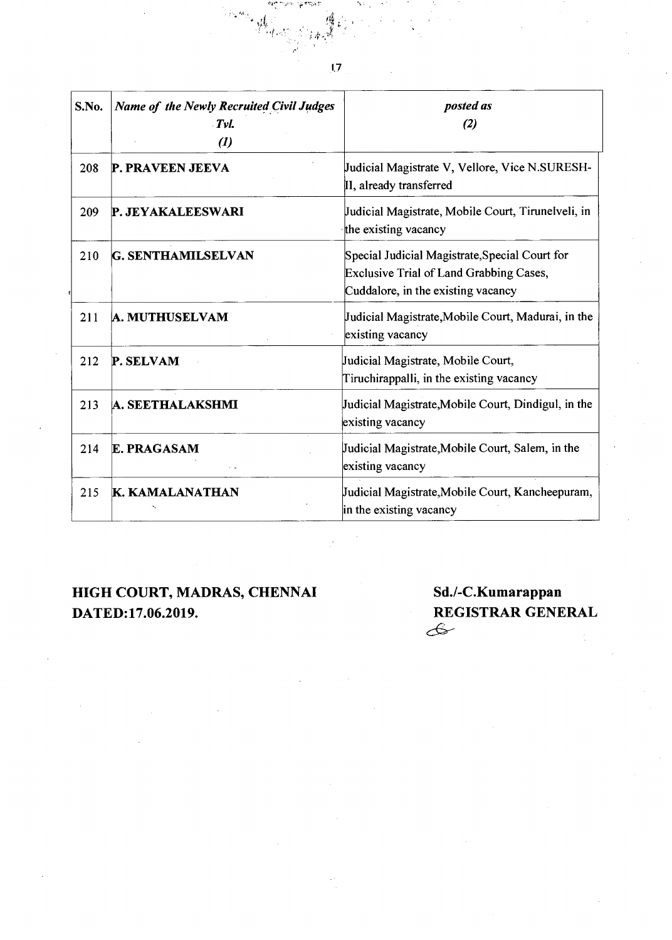| S.No. | Name of the Newly Recruited Civil Judges<br>Tvl.<br>$\boldsymbol{d}$ | posted as<br>(2)                                                                                                                       |
|-------|----------------------------------------------------------------------|----------------------------------------------------------------------------------------------------------------------------------------|
| 208   | <b>P. PRAVEEN JEEVA</b>                                              | Judicial Magistrate V, Vellore, Vice N.SURESH-<br>II, already transferred                                                              |
| 209   | <b>P. JEYAKALEESWARI</b>                                             | Judicial Magistrate, Mobile Court, Tirunelveli, in<br>the existing vacancy                                                             |
| 210   | <b>G. SENTHAMILSELVAN</b>                                            | Special Judicial Magistrate, Special Court for<br><b>Exclusive Trial of Land Grabbing Cases,</b><br>Cuddalore, in the existing vacancy |
| 211   | <b>A. MUTHUSELVAM</b>                                                | Judicial Magistrate, Mobile Court, Madurai, in the<br>existing vacancy                                                                 |
| 212   | P. SELVAM                                                            | Judicial Magistrate, Mobile Court,<br>Tiruchirappalli, in the existing vacancy                                                         |
| 213   | A. SEETHALAKSHMI                                                     | Judicial Magistrate, Mobile Court, Dindigul, in the<br>existing vacancy                                                                |
| 214   | <b>E. PRAGASAM</b>                                                   | Judicial Magistrate, Mobile Court, Salem, in the<br>existing vacancy                                                                   |
| 215   | K. KAMALANATHAN                                                      | Judicial Magistrate, Mobile Court, Kancheepuram,<br>in the existing vacancy                                                            |

# **HIGH COURT, MADRAS, CHENNAI Sd./-C.Kumarappan**

# **DATED:17.06.2019.** REGISTRAR GENERAL **REGISTRAR** GENERAL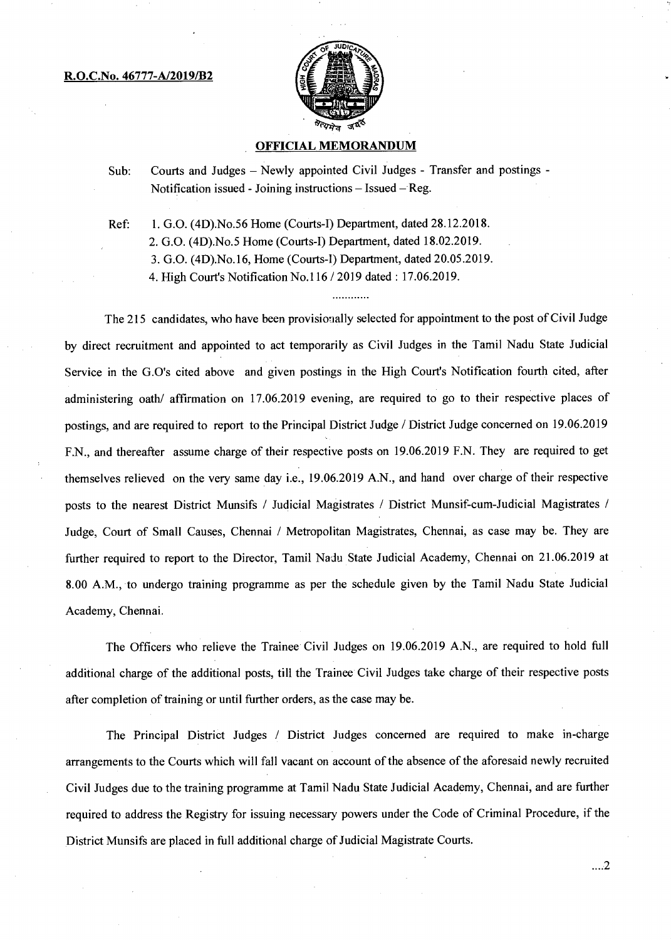#### **R.O.C.No. 46777-A/2019/B2**



### **OFFICIAL MEMORANDUM**

Sub: Courts and Judges — Newly appointed Civil Judges - Transfer and postings - Notification issued - Joining instructions — Issued — Reg.

Ref: 1. G.O. (4D).No.56 Home (Courts-1) Department, dated 28.12.2018.

2. G.O. (4D).No.5 Home (Courts-I) Department, dated 18.02.2019.

3. G.O. (4D).No.16, Home (Courts-I) Department, dated 20.05.2019.

4. High Court's Notification No.116 / 2019 dated: 17.06.2019.

The 215 candidates, who have been provisionally selected for appointment to the post of Civil Judge by direct recruitment and appointed to act temporarily as Civil Judges in the Tamil Nadu State Judicial Service in the G.O's cited above and given postings in the High Court's Notification fourth cited, after administering oath/ affirmation on 17.06.2019 evening, are required to go to their respective places of postings, and are required to report to the Principal District Judge / District Judge concerned on 19.06.2019 F.N., and thereafter assume charge of their respective posts on 19.06.2019 F.N. They are required to get themselves relieved on the very same day i.e., 19.06.2019 A.N., and hand over charge of their respective posts to the nearest District Munsifs / Judicial Magistrates / District Munsif-cum-Judicial Magistrates / Judge, Court of Small Causes, Chennai / Metropolitan Magistrates, Chennai, as case may be. They are further required to report to the Director, Tamil Nadu State Judicial Academy, Chennai on 21.06.2019 at 8.00 A.M., to undergo training programme as per the schedule given by the Tamil Nadu State Judicial Academy, Chennai.

The Officers who relieve the Trainee Civil Judges on 19.06.2019 A.N., are required to hold full additional charge of the additional posts, till the Trainee Civil Judges take charge of their respective posts after completion of training or until further orders, as the case may be.

The Principal District Judges / District Judges concerned are required to make in-charge arrangements to the Courts which will fall vacant on account of the absence of the aforesaid newly recruited Civil Judges due to the training programme at Tamil Nadu State Judicial Academy, Chennai, and are further required to address the Registry for issuing necessary powers under the Code of Criminal Procedure, if the District Munsifs are placed in full additional charge of Judicial Magistrate Courts.

 $\dots 2$